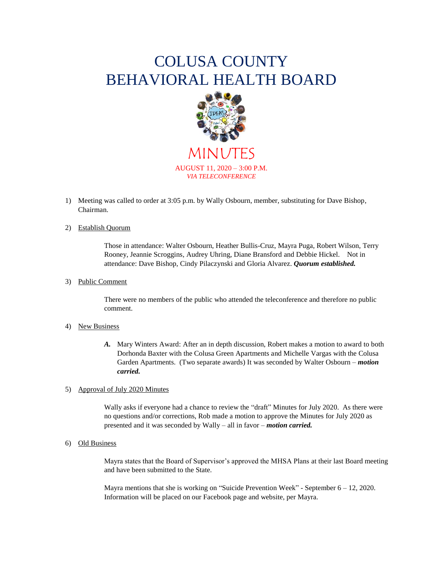# COLUSA COUNTY BEHAVIORAL HEALTH BOARD



MINUTES AUGUST 11, 2020 – 3:00 P.M. *VIA TELECONFERENCE*

1) Meeting was called to order at 3:05 p.m. by Wally Osbourn, member, substituting for Dave Bishop, Chairman.

## 2) Establish Quorum

Those in attendance: Walter Osbourn, Heather Bullis-Cruz, Mayra Puga, Robert Wilson, Terry Rooney, Jeannie Scroggins, Audrey Uhring, Diane Bransford and Debbie Hickel. Not in attendance: Dave Bishop, Cindy Pilaczynski and Gloria Alvarez. *Quorum established.*

### 3) Public Comment

There were no members of the public who attended the teleconference and therefore no public comment.

#### 4) New Business

*A.* Mary Winters Award: After an in depth discussion, Robert makes a motion to award to both Dorhonda Baxter with the Colusa Green Apartments and Michelle Vargas with the Colusa Garden Apartments. (Two separate awards) It was seconded by Walter Osbourn – *motion carried.*

## 5) Approval of July 2020 Minutes

Wally asks if everyone had a chance to review the "draft" Minutes for July 2020. As there were no questions and/or corrections, Rob made a motion to approve the Minutes for July 2020 as presented and it was seconded by Wally – all in favor – *motion carried.*

#### 6) Old Business

Mayra states that the Board of Supervisor's approved the MHSA Plans at their last Board meeting and have been submitted to the State.

Mayra mentions that she is working on "Suicide Prevention Week" - September  $6 - 12$ , 2020. Information will be placed on our Facebook page and website, per Mayra.